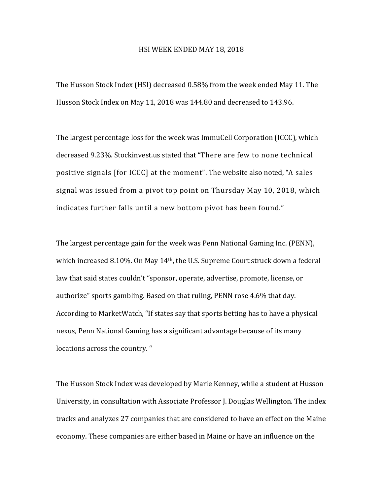## HSI WEEK ENDED MAY 18, 2018

The Husson Stock Index (HSI) decreased 0.58% from the week ended May 11. The Husson Stock Index on May 11, 2018 was 144.80 and decreased to 143.96.

The largest percentage loss for the week was ImmuCell Corporation (ICCC), which decreased 9.23%. Stockinvest.us stated that "There are few to none technical positive signals [for ICCC] at the moment". The website also noted, "A sales signal was issued from a pivot top point on Thursday May 10, 2018, which indicates further falls until a new bottom pivot has been found."

The largest percentage gain for the week was Penn National Gaming Inc. (PENN), which increased 8.10%. On May 14<sup>th</sup>, the U.S. Supreme Court struck down a federal law that said states couldn't "sponsor, operate, advertise, promote, license, or authorize" sports gambling. Based on that ruling, PENN rose 4.6% that day. According to MarketWatch, "If states say that sports betting has to have a physical nexus, Penn National Gaming has a significant advantage because of its many locations across the country. "

The Husson Stock Index was developed by Marie Kenney, while a student at Husson University, in consultation with Associate Professor J. Douglas Wellington. The index tracks and analyzes 27 companies that are considered to have an effect on the Maine economy. These companies are either based in Maine or have an influence on the